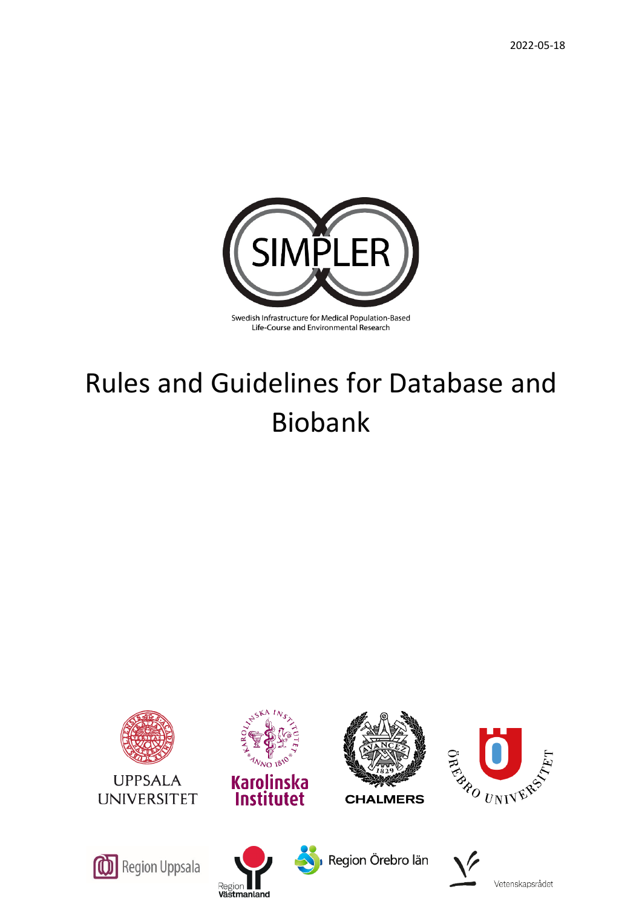

## Life-Course and Environmental Research

# Rules and Guidelines for Database and Biobank









Region Örebro län

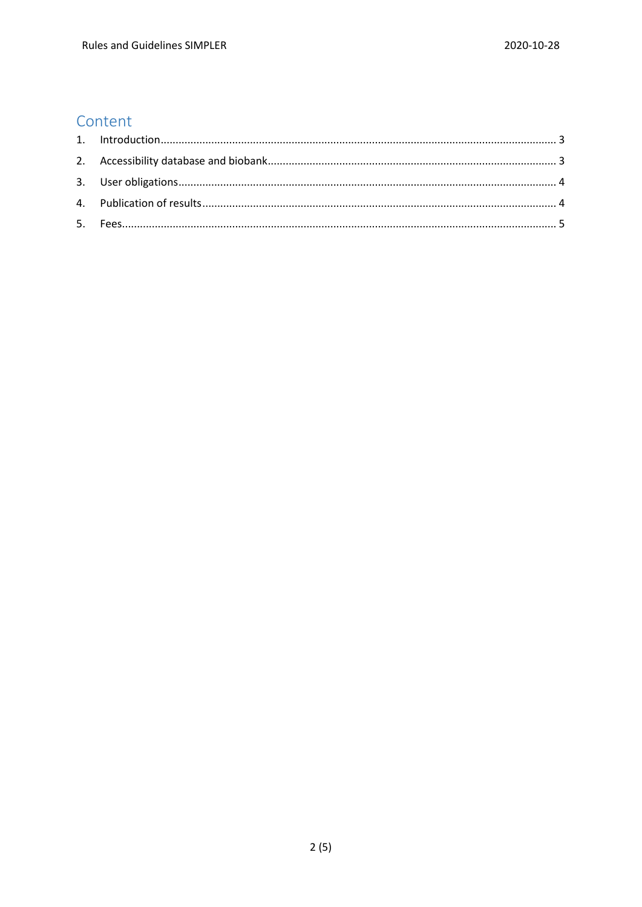# Content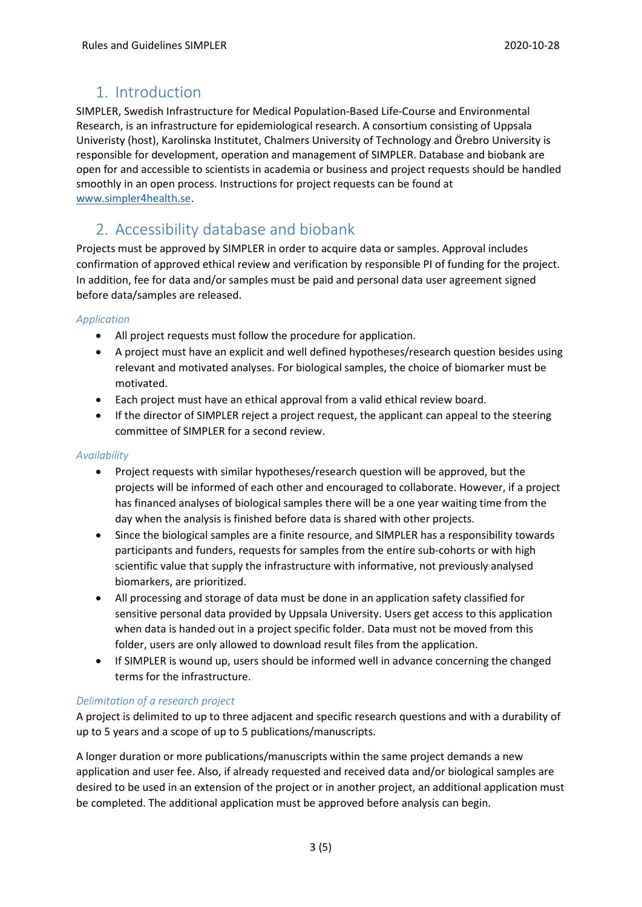# <span id="page-2-0"></span>1. Introduction

SIMPLER, Swedish Infrastructure for Medical Population-Based Life-Course and Environmental Research, is an infrastructure for epidemiological research. A consortium consisting of Uppsala Univeristy (host), Karolinska Institutet, Chalmers University of Technology and Örebro University is responsible for development, operation and management of SIMPLER. Database and biobank are open for and accessible to scientists in academia or business and project requests should be handled smoothly in an open process. Instructions for project requests can be found at [www.simpler4health.se.](http://www.simpler4health.se/)

# <span id="page-2-1"></span>2. Accessibility database and biobank

Projects must be approved by SIMPLER in order to acquire data or samples. Approval includes confirmation of approved ethical review and verification by responsible PI of funding for the project. In addition, fee for data and/or samples must be paid and personal data user agreement signed before data/samples are released.

#### *Application*

- All project requests must follow the procedure for application.
- A project must have an explicit and well defined hypotheses/research question besides using relevant and motivated analyses. For biological samples, the choice of biomarker must be motivated.
- Each project must have an ethical approval from a valid ethical review board.
- If the director of SIMPLER reject a project request, the applicant can appeal to the steering committee of SIMPLER for a second review.

#### *Availability*

- Project requests with similar hypotheses/research question will be approved, but the projects will be informed of each other and encouraged to collaborate. However, if a project has financed analyses of biological samples there will be a one year waiting time from the day when the analysis is finished before data is shared with other projects.
- Since the biological samples are a finite resource, and SIMPLER has a responsibility towards participants and funders, requests for samples from the entire sub-cohorts or with high scientific value that supply the infrastructure with informative, not previously analysed biomarkers, are prioritized.
- All processing and storage of data must be done in an application safety classified for sensitive personal data provided by Uppsala University. Users get access to this application when data is handed out in a project specific folder. Data must not be moved from this folder, users are only allowed to download result files from the application.
- If SIMPLER is wound up, users should be informed well in advance concerning the changed terms for the infrastructure.

#### *Delimitation of a research project*

A project is delimited to up to three adjacent and specific research questions and with a durability of up to 5 years and a scope of up to 5 publications/manuscripts.

A longer duration or more publications/manuscripts within the same project demands a new application and user fee. Also, if already requested and received data and/or biological samples are desired to be used in an extension of the project or in another project, an additional application must be completed. The additional application must be approved before analysis can begin.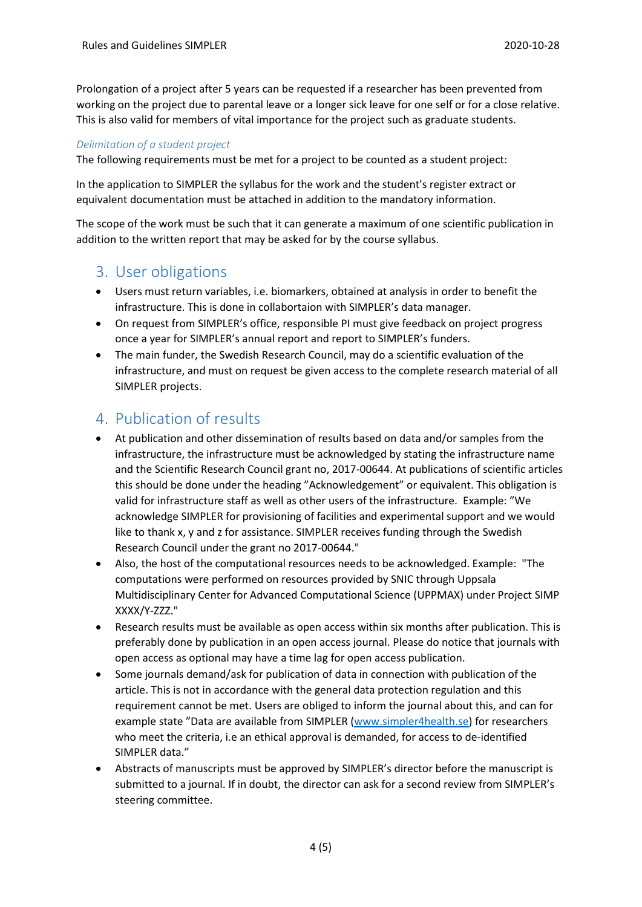Prolongation of a project after 5 years can be requested if a researcher has been prevented from working on the project due to parental leave or a longer sick leave for one self or for a close relative. This is also valid for members of vital importance for the project such as graduate students.

#### *Delimitation of a student project*

The following requirements must be met for a project to be counted as a student project:

In the application to SIMPLER the syllabus for the work and the student's register extract or equivalent documentation must be attached in addition to the mandatory information.

The scope of the work must be such that it can generate a maximum of one scientific publication in addition to the written report that may be asked for by the course syllabus.

## <span id="page-3-0"></span>3. User obligations

- Users must return variables, i.e. biomarkers, obtained at analysis in order to benefit the infrastructure. This is done in collabortaion with SIMPLER's data manager.
- On request from SIMPLER's office, responsible PI must give feedback on project progress once a year for SIMPLER's annual report and report to SIMPLER's funders.
- The main funder, the Swedish Research Council, may do a scientific evaluation of the infrastructure, and must on request be given access to the complete research material of all SIMPLER projects.

## <span id="page-3-1"></span>4. Publication of results

- At publication and other dissemination of results based on data and/or samples from the infrastructure, the infrastructure must be acknowledged by stating the infrastructure name and the Scientific Research Council grant no, 2017-00644. At publications of scientific articles this should be done under the heading "Acknowledgement" or equivalent. This obligation is valid for infrastructure staff as well as other users of the infrastructure. Example: "We acknowledge SIMPLER for provisioning of facilities and experimental support and we would like to thank x, y and z for assistance. SIMPLER receives funding through the Swedish Research Council under the grant no 2017-00644."
- Also, the host of the computational resources needs to be acknowledged. Example: "The computations were performed on resources provided by SNIC through Uppsala Multidisciplinary Center for Advanced Computational Science (UPPMAX) under Project SIMP XXXX/Y-ZZZ."
- Research results must be available as open access within six months after publication. This is preferably done by publication in an open access journal. Please do notice that journals with open access as optional may have a time lag for open access publication.
- Some journals demand/ask for publication of data in connection with publication of the article. This is not in accordance with the general data protection regulation and this requirement cannot be met. Users are obliged to inform the journal about this, and can for example state "Data are available from SIMPLER (www.simpler4health.se) for researchers who meet the criteria, i.e an ethical approval is demanded, for access to de-identified SIMPLER data."
- Abstracts of manuscripts must be approved by SIMPLER's director before the manuscript is submitted to a journal. If in doubt, the director can ask for a second review from SIMPLER's steering committee.